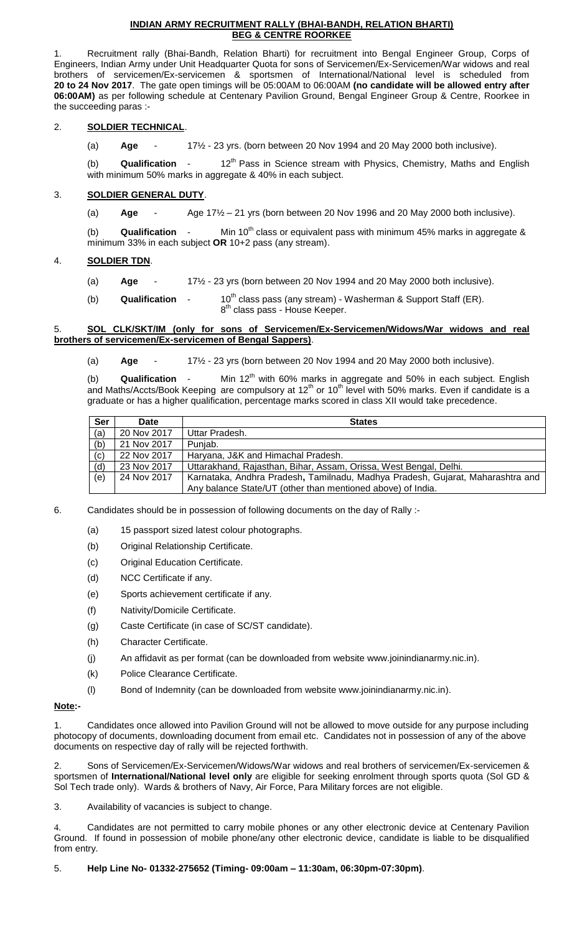## **INDIAN ARMY RECRUITMENT RALLY (BHAI-BANDH, RELATION BHARTI) BEG & CENTRE ROORKEE**

1. Recruitment rally (Bhai-Bandh, Relation Bharti) for recruitment into Bengal Engineer Group, Corps of Engineers, Indian Army under Unit Headquarter Quota for sons of Servicemen/Ex-Servicemen/War widows and real brothers of servicemen/Ex-servicemen & sportsmen of International/National level is scheduled from **20 to 24 Nov 2017**. The gate open timings will be 05:00AM to 06:00AM **(no candidate will be allowed entry after 06:00AM)** as per following schedule at Centenary Pavilion Ground, Bengal Engineer Group & Centre, Roorkee in the succeeding paras :-

## 2. **SOLDIER TECHNICAL**.

(a) **Age** - 17½ - 23 yrs. (born between 20 Nov 1994 and 20 May 2000 both inclusive).

(b) **Qualification** - 12<sup>th</sup> Pass in Science stream with Physics, Chemistry, Maths and English with minimum 50% marks in aggregate & 40% in each subject.

## 3. **SOLDIER GENERAL DUTY**.

(a) **Age** - Age 17½ – 21 yrs (born between 20 Nov 1996 and 20 May 2000 both inclusive).

(b) **Qualification** - Min 10<sup>th</sup> class or equivalent pass with minimum 45% marks in aggregate & minimum 33% in each subject **OR** 10+2 pass (any stream).

## 4. **SOLDIER TDN**.

- (a) **Age** 17½ 23 yrs (born between 20 Nov 1994 and 20 May 2000 both inclusive).
- (b) **Qualification** 10<sup>th</sup> class pass (any stream) Washerman & Support Staff (ER). 8<sup>th</sup> class pass - House Keeper.

## 5. **SOL CLK/SKT/IM (only for sons of Servicemen/Ex-Servicemen/Widows/War widows and real brothers of servicemen/Ex-servicemen of Bengal Sappers)**.

(a) **Age** - 17½ - 23 yrs (born between 20 Nov 1994 and 20 May 2000 both inclusive).

(b) **Qualification** - Min 12<sup>th</sup> with 60% marks in aggregate and 50% in each subject. English and Maths/Accts/Book Keeping are compulsory at  $12^{\text{th}}$  or  $10^{\text{th}}$  level with 50% marks. Even if candidate is a graduate or has a higher qualification, percentage marks scored in class XII would take precedence.

| <b>Ser</b> | <b>Date</b> | <b>States</b>                                                                  |  |
|------------|-------------|--------------------------------------------------------------------------------|--|
| (a)        | 20 Nov 2017 | Uttar Pradesh.                                                                 |  |
| (b)        | 21 Nov 2017 | Punjab.                                                                        |  |
| (c)        | 22 Nov 2017 | Haryana, J&K and Himachal Pradesh.                                             |  |
| (d)        | 23 Nov 2017 | Uttarakhand, Rajasthan, Bihar, Assam, Orissa, West Bengal, Delhi.              |  |
| (e)        | 24 Nov 2017 | Karnataka, Andhra Pradesh, Tamilnadu, Madhya Pradesh, Gujarat, Maharashtra and |  |
|            |             | Any balance State/UT (other than mentioned above) of India.                    |  |

6. Candidates should be in possession of following documents on the day of Rally :-

- (a) 15 passport sized latest colour photographs.
- (b) Original Relationship Certificate.
- (c) Original Education Certificate.
- (d) NCC Certificate if any.
- (e) Sports achievement certificate if any.
- (f) Nativity/Domicile Certificate.
- (g) Caste Certificate (in case of SC/ST candidate).
- (h) Character Certificate.
- (j) An affidavit as per format (can be downloaded from website www.joinindianarmy.nic.in).
- (k) Police Clearance Certificate.
- (l) Bond of Indemnity (can be downloaded from website www.joinindianarmy.nic.in).

## **Note:-**

1. Candidates once allowed into Pavilion Ground will not be allowed to move outside for any purpose including photocopy of documents, downloading document from email etc. Candidates not in possession of any of the above documents on respective day of rally will be rejected forthwith.

2. Sons of Servicemen/Ex-Servicemen/Widows/War widows and real brothers of servicemen/Ex-servicemen & sportsmen of **International/National level only** are eligible for seeking enrolment through sports quota (Sol GD & Sol Tech trade only). Wards & brothers of Navy, Air Force, Para Military forces are not eligible.

3. Availability of vacancies is subject to change.

4. Candidates are not permitted to carry mobile phones or any other electronic device at Centenary Pavilion Ground. If found in possession of mobile phone/any other electronic device, candidate is liable to be disqualified from entry.

## 5. **Help Line No- 01332-275652 (Timing- 09:00am – 11:30am, 06:30pm-07:30pm)**.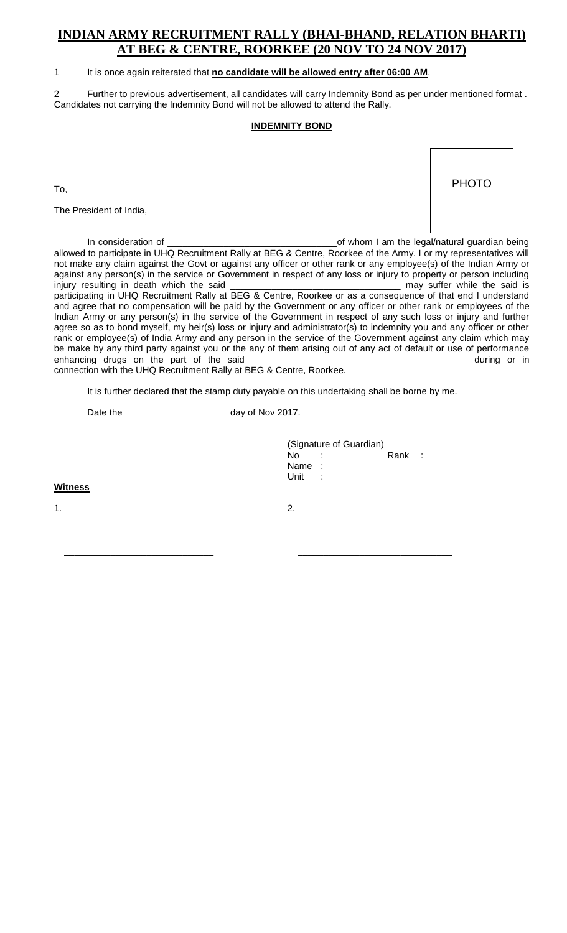# **INDIAN ARMY RECRUITMENT RALLY (BHAI-BHAND, RELATION BHARTI) AT BEG & CENTRE, ROORKEE (20 NOV TO 24 NOV 2017)**

## 1 It is once again reiterated that **no candidate will be allowed entry after 06:00 AM**.

2 Further to previous advertisement, all candidates will carry Indemnity Bond as per under mentioned format . Candidates not carrying the Indemnity Bond will not be allowed to attend the Rally.

## **INDEMNITY BOND**

To,

The President of India,



In consideration of \_\_\_\_\_\_\_\_\_\_\_\_\_\_\_\_\_\_\_\_\_\_\_\_\_\_\_\_\_\_\_\_\_of whom I am the legal/natural guardian being allowed to participate in UHQ Recruitment Rally at BEG & Centre, Roorkee of the Army. I or my representatives will not make any claim against the Govt or against any officer or other rank or any employee(s) of the Indian Army or against any person(s) in the service or Government in respect of any loss or injury to property or person including injury resulting in death which the said \_\_\_\_\_\_\_\_\_\_\_\_\_\_\_\_\_\_\_\_\_\_\_\_\_\_\_\_\_\_\_\_\_ may suffer while the said is participating in UHQ Recruitment Rally at BEG & Centre, Roorkee or as a consequence of that end I understand and agree that no compensation will be paid by the Government or any officer or other rank or employees of the Indian Army or any person(s) in the service of the Government in respect of any such loss or injury and further agree so as to bond myself, my heir(s) loss or injury and administrator(s) to indemnity you and any officer or other rank or employee(s) of India Army and any person in the service of the Government against any claim which may be make by any third party against you or the any of them arising out of any act of default or use of performance enhancing drugs on the part of the said \_\_\_\_\_\_\_\_\_\_\_\_\_\_\_\_\_\_\_\_\_\_\_\_\_\_\_\_\_\_\_\_\_\_\_\_\_\_\_\_\_\_ during or in connection with the UHQ Recruitment Rally at BEG & Centre, Roorkee.

It is further declared that the stamp duty payable on this undertaking shall be borne by me.

Date the \_\_\_\_\_\_\_\_\_\_\_\_\_\_\_\_\_\_\_\_ day of Nov 2017.

| <b>Witness</b> | (Signature of Guardian)<br>Rank :<br>$No$ :<br>Name:<br>Unit : |
|----------------|----------------------------------------------------------------|
| 1.             | 2.                                                             |
|                |                                                                |